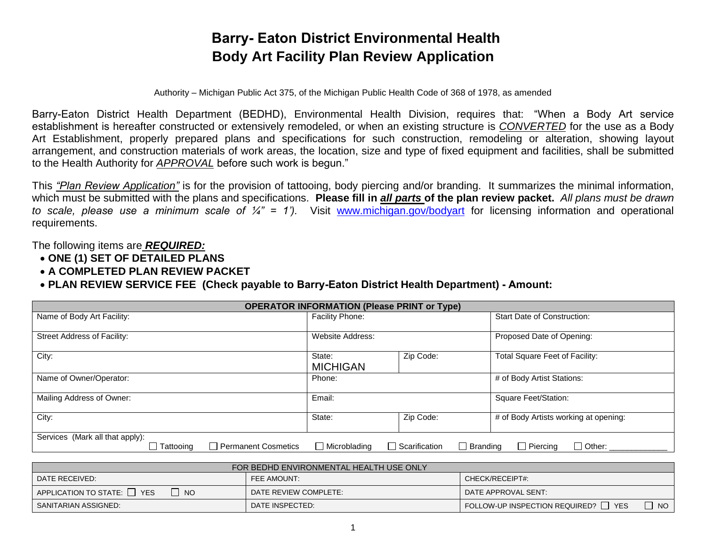# **Barry- Eaton District Environmental Health Body Art Facility Plan Review Application**

Authority – Michigan Public Act 375, of the Michigan Public Health Code of 368 of 1978, as amended

Barry-Eaton District Health Department (BEDHD), Environmental Health Division, requires that: "When a Body Art service establishment is hereafter constructed or extensively remodeled, or when an existing structure is *CONVERTED* for the use as a Body Art Establishment, properly prepared plans and specifications for such construction, remodeling or alteration, showing layout arrangement, and construction materials of work areas, the location, size and type of fixed equipment and facilities, shall be submitted to the Health Authority for *APPROVAL* before such work is begun."

This *"Plan Review Application"* is for the provision of tattooing, body piercing and/or branding. It summarizes the minimal information, which must be submitted with the plans and specifications. **Please fill in** *all parts* **of the plan review packet.** *All plans must be drawn to scale, please use a minimum scale of ¼" = 1').* Visit [www.michigan.gov/bodyart](http://www.michigan.gov/bodyart) for licensing information and operational requirements.

The following items are *REQUIRED:*

- **ONE (1) SET OF DETAILED PLANS**
- **A COMPLETED PLAN REVIEW PACKET**
- **PLAN REVIEW SERVICE FEE (Check payable to Barry-Eaton District Health Department) Amount:**

|                                                                     | <b>OPERATOR INFORMATION (Please PRINT or Type)</b> |                                         |                                       |  |  |  |  |  |  |  |  |
|---------------------------------------------------------------------|----------------------------------------------------|-----------------------------------------|---------------------------------------|--|--|--|--|--|--|--|--|
| Name of Body Art Facility:                                          | Facility Phone:                                    |                                         | <b>Start Date of Construction:</b>    |  |  |  |  |  |  |  |  |
| Street Address of Facility:                                         | Website Address:                                   |                                         | Proposed Date of Opening:             |  |  |  |  |  |  |  |  |
| City:                                                               | State:<br><b>MICHIGAN</b>                          | Zip Code:                               | <b>Total Square Feet of Facility:</b> |  |  |  |  |  |  |  |  |
| Name of Owner/Operator:                                             | Phone:                                             |                                         | # of Body Artist Stations:            |  |  |  |  |  |  |  |  |
| Mailing Address of Owner:                                           | Email:                                             |                                         | Square Feet/Station:                  |  |  |  |  |  |  |  |  |
| City:                                                               | State:                                             | Zip Code:                               | # of Body Artists working at opening: |  |  |  |  |  |  |  |  |
| Services (Mark all that apply):<br>Permanent Cosmetics<br>Tattooing | $\Box$ Microblading                                | $\Box$ Scarification<br>$\Box$ Branding | $\Box$ Other:<br>$\Box$ Piercing      |  |  |  |  |  |  |  |  |

| FOR BEDHD ENVIRONMENTAL HEALTH USE ONLY       |                       |                                                  |  |  |  |  |  |  |  |  |  |  |
|-----------------------------------------------|-----------------------|--------------------------------------------------|--|--|--|--|--|--|--|--|--|--|
| DATE RECEIVED:                                | FEE AMOUNT:           | CHECK/RECEIPT#:                                  |  |  |  |  |  |  |  |  |  |  |
| APPLICATION TO STATE: $\Box$ YES<br><b>NO</b> | DATE REVIEW COMPLETE: | DATE APPROVAL SENT:                              |  |  |  |  |  |  |  |  |  |  |
| SANITARIAN ASSIGNED.                          | DATE INSPECTED:       | FOLLOW-UP INSPECTION REQUIRED? TYES<br><b>NO</b> |  |  |  |  |  |  |  |  |  |  |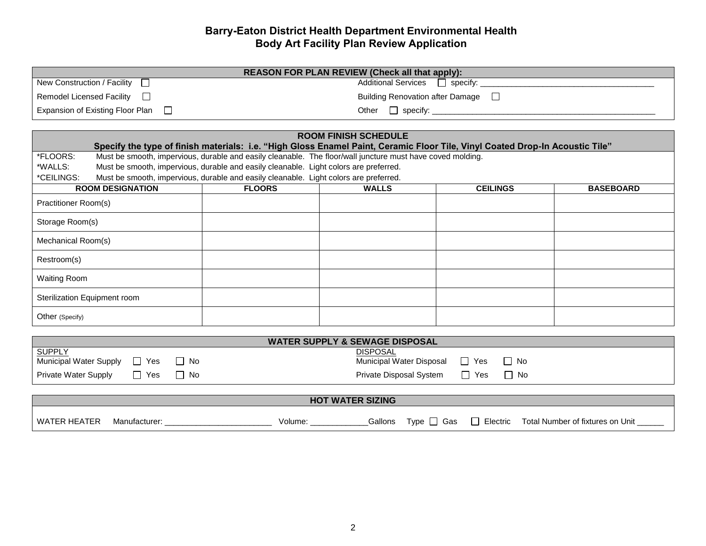# **Barry-Eaton District Health Department Environmental Health Body Art Facility Plan Review Application**

|                                                                                                     |                                                                                                                              | <b>REASON FOR PLAN REVIEW (Check all that apply):</b>             |                                         |                  |  |  |  |  |  |  |  |  |  |  |
|-----------------------------------------------------------------------------------------------------|------------------------------------------------------------------------------------------------------------------------------|-------------------------------------------------------------------|-----------------------------------------|------------------|--|--|--|--|--|--|--|--|--|--|
| New Construction / Facility                                                                         |                                                                                                                              |                                                                   |                                         |                  |  |  |  |  |  |  |  |  |  |  |
| <b>Remodel Licensed Facility</b><br>$\Box$                                                          |                                                                                                                              |                                                                   | Building Renovation after Damage $\Box$ |                  |  |  |  |  |  |  |  |  |  |  |
| Expansion of Existing Floor Plan<br>$\Box$                                                          |                                                                                                                              |                                                                   |                                         |                  |  |  |  |  |  |  |  |  |  |  |
|                                                                                                     |                                                                                                                              |                                                                   |                                         |                  |  |  |  |  |  |  |  |  |  |  |
|                                                                                                     | Specify the type of finish materials: i.e. "High Gloss Enamel Paint, Ceramic Floor Tile, Vinyl Coated Drop-In Acoustic Tile" | <b>ROOM FINISH SCHEDULE</b>                                       |                                         |                  |  |  |  |  |  |  |  |  |  |  |
| *FLOORS:                                                                                            | Must be smooth, impervious, durable and easily cleanable. The floor/wall juncture must have coved molding.                   |                                                                   |                                         |                  |  |  |  |  |  |  |  |  |  |  |
| *WALLS:<br>Must be smooth, impervious, durable and easily cleanable. Light colors are preferred.    |                                                                                                                              |                                                                   |                                         |                  |  |  |  |  |  |  |  |  |  |  |
| Must be smooth, impervious, durable and easily cleanable. Light colors are preferred.<br>*CEILINGS: |                                                                                                                              |                                                                   |                                         |                  |  |  |  |  |  |  |  |  |  |  |
| <b>ROOM DESIGNATION</b>                                                                             | <b>FLOORS</b>                                                                                                                | <b>WALLS</b>                                                      | <b>CEILINGS</b>                         | <b>BASEBOARD</b> |  |  |  |  |  |  |  |  |  |  |
| Practitioner Room(s)                                                                                |                                                                                                                              |                                                                   |                                         |                  |  |  |  |  |  |  |  |  |  |  |
| Storage Room(s)                                                                                     |                                                                                                                              |                                                                   |                                         |                  |  |  |  |  |  |  |  |  |  |  |
| Mechanical Room(s)                                                                                  |                                                                                                                              |                                                                   |                                         |                  |  |  |  |  |  |  |  |  |  |  |
| Restroom(s)                                                                                         |                                                                                                                              |                                                                   |                                         |                  |  |  |  |  |  |  |  |  |  |  |
| <b>Waiting Room</b>                                                                                 |                                                                                                                              |                                                                   |                                         |                  |  |  |  |  |  |  |  |  |  |  |
| Sterilization Equipment room                                                                        |                                                                                                                              |                                                                   |                                         |                  |  |  |  |  |  |  |  |  |  |  |
| Other (Specify)                                                                                     |                                                                                                                              |                                                                   |                                         |                  |  |  |  |  |  |  |  |  |  |  |
|                                                                                                     |                                                                                                                              |                                                                   |                                         |                  |  |  |  |  |  |  |  |  |  |  |
| <b>SUPPLY</b>                                                                                       |                                                                                                                              | <b>WATER SUPPLY &amp; SEWAGE DISPOSAL</b><br><b>DISPOSAL</b>      |                                         |                  |  |  |  |  |  |  |  |  |  |  |
| Municipal Water Supply<br>$\Box$ Yes<br>$\Box$ No                                                   |                                                                                                                              | Municipal Water Disposal                                          | $\Box$ Yes<br>$\Box$ No                 |                  |  |  |  |  |  |  |  |  |  |  |
| $\Box$ No<br>Private Water Supply<br>$\Box$ Yes                                                     |                                                                                                                              | Private Disposal System                                           | $\Box$ No<br>$\Box$ Yes                 |                  |  |  |  |  |  |  |  |  |  |  |
|                                                                                                     |                                                                                                                              | <b>HOT WATER SIZING</b>                                           |                                         |                  |  |  |  |  |  |  |  |  |  |  |
|                                                                                                     |                                                                                                                              |                                                                   |                                         |                  |  |  |  |  |  |  |  |  |  |  |
| WATER HEATER                                                                                        |                                                                                                                              | Volume: Gallons Type Gas Generic Total Number of fixtures on Unit |                                         |                  |  |  |  |  |  |  |  |  |  |  |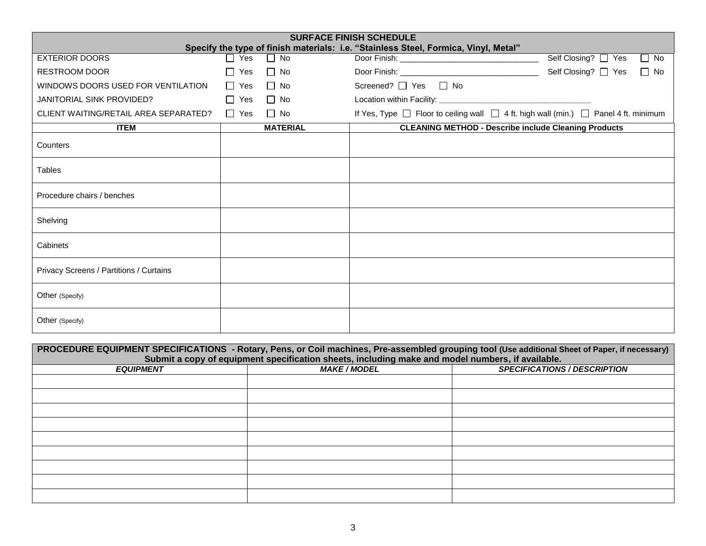|                                             | <b>SURFACE FINISH SCHEDULE</b><br>Specify the type of finish materials: i.e. "Stainless Steel, Formica, Vinyl, Metal" |                 |                                                                                                    |                                     |  |  |  |  |  |  |  |  |  |  |
|---------------------------------------------|-----------------------------------------------------------------------------------------------------------------------|-----------------|----------------------------------------------------------------------------------------------------|-------------------------------------|--|--|--|--|--|--|--|--|--|--|
| <b>EXTERIOR DOORS</b>                       | $\Box$ Yes                                                                                                            | $\Box$ No       |                                                                                                    | Self Closing? □ Yes<br>$\Box$ No    |  |  |  |  |  |  |  |  |  |  |
| <b>RESTROOM DOOR</b>                        | П<br>Yes                                                                                                              | $\Box$ No       |                                                                                                    | Self Closing? □ Yes<br>$\Box$<br>No |  |  |  |  |  |  |  |  |  |  |
| WINDOWS DOORS USED FOR VENTILATION          | $\Box$ Yes                                                                                                            | $\Box$ No       | Screened? □ Yes □ No                                                                               |                                     |  |  |  |  |  |  |  |  |  |  |
| JANITORIAL SINK PROVIDED?                   | $\Box$ Yes                                                                                                            | $\Box$ No       |                                                                                                    |                                     |  |  |  |  |  |  |  |  |  |  |
| CLIENT WAITING/RETAIL AREA SEPARATED? □ Yes |                                                                                                                       | $\Box$ No       | If Yes, Type $\Box$ Floor to ceiling wall $\Box$ 4 ft. high wall (min.) $\Box$ Panel 4 ft. minimum |                                     |  |  |  |  |  |  |  |  |  |  |
| <b>ITEM</b>                                 |                                                                                                                       | <b>MATERIAL</b> | <b>CLEANING METHOD - Describe include Cleaning Products</b>                                        |                                     |  |  |  |  |  |  |  |  |  |  |
| Counters                                    |                                                                                                                       |                 |                                                                                                    |                                     |  |  |  |  |  |  |  |  |  |  |
| <b>Tables</b>                               |                                                                                                                       |                 |                                                                                                    |                                     |  |  |  |  |  |  |  |  |  |  |
| Procedure chairs / benches                  |                                                                                                                       |                 |                                                                                                    |                                     |  |  |  |  |  |  |  |  |  |  |
| Shelving                                    |                                                                                                                       |                 |                                                                                                    |                                     |  |  |  |  |  |  |  |  |  |  |
| Cabinets                                    |                                                                                                                       |                 |                                                                                                    |                                     |  |  |  |  |  |  |  |  |  |  |
| Privacy Screens / Partitions / Curtains     |                                                                                                                       |                 |                                                                                                    |                                     |  |  |  |  |  |  |  |  |  |  |
| Other (Specify)                             |                                                                                                                       |                 |                                                                                                    |                                     |  |  |  |  |  |  |  |  |  |  |
| Other (Specify)                             |                                                                                                                       |                 |                                                                                                    |                                     |  |  |  |  |  |  |  |  |  |  |

|                  | PROCEDURE EQUIPMENT SPECIFICATIONS - Rotary, Pens, or Coil machines, Pre-assembled grouping tool (Use additional Sheet of Paper, if necessary)<br>Submit a copy of equipment specification sheets, including make and model numbers, if available. |                                     |  |  |  |  |  |  |  |  |  |  |  |  |  |
|------------------|----------------------------------------------------------------------------------------------------------------------------------------------------------------------------------------------------------------------------------------------------|-------------------------------------|--|--|--|--|--|--|--|--|--|--|--|--|--|
| <b>EQUIPMENT</b> | <b>MAKE / MODEL</b>                                                                                                                                                                                                                                | <b>SPECIFICATIONS / DESCRIPTION</b> |  |  |  |  |  |  |  |  |  |  |  |  |  |
|                  |                                                                                                                                                                                                                                                    |                                     |  |  |  |  |  |  |  |  |  |  |  |  |  |
|                  |                                                                                                                                                                                                                                                    |                                     |  |  |  |  |  |  |  |  |  |  |  |  |  |
|                  |                                                                                                                                                                                                                                                    |                                     |  |  |  |  |  |  |  |  |  |  |  |  |  |
|                  |                                                                                                                                                                                                                                                    |                                     |  |  |  |  |  |  |  |  |  |  |  |  |  |
|                  |                                                                                                                                                                                                                                                    |                                     |  |  |  |  |  |  |  |  |  |  |  |  |  |
|                  |                                                                                                                                                                                                                                                    |                                     |  |  |  |  |  |  |  |  |  |  |  |  |  |
|                  |                                                                                                                                                                                                                                                    |                                     |  |  |  |  |  |  |  |  |  |  |  |  |  |
|                  |                                                                                                                                                                                                                                                    |                                     |  |  |  |  |  |  |  |  |  |  |  |  |  |
|                  |                                                                                                                                                                                                                                                    |                                     |  |  |  |  |  |  |  |  |  |  |  |  |  |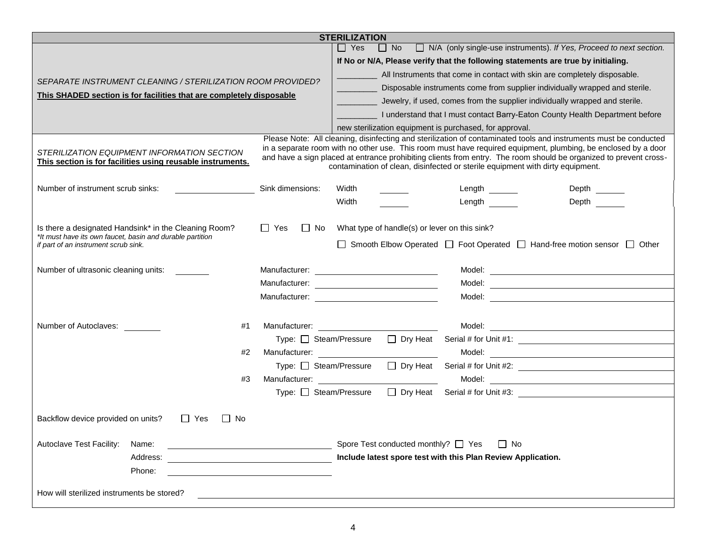|                                                                                                                                                            |                             | <b>STERILIZATION</b>                                                                                                                                                                                                           |                                                                                                                                                                                                                                                                                                                                                                                                                                           |  |  |  |  |  |  |  |  |  |  |
|------------------------------------------------------------------------------------------------------------------------------------------------------------|-----------------------------|--------------------------------------------------------------------------------------------------------------------------------------------------------------------------------------------------------------------------------|-------------------------------------------------------------------------------------------------------------------------------------------------------------------------------------------------------------------------------------------------------------------------------------------------------------------------------------------------------------------------------------------------------------------------------------------|--|--|--|--|--|--|--|--|--|--|
|                                                                                                                                                            |                             | $\Box$ No $\Box$ N/A (only single-use instruments). If Yes, Proceed to next section.<br>$\Box$ Yes                                                                                                                             |                                                                                                                                                                                                                                                                                                                                                                                                                                           |  |  |  |  |  |  |  |  |  |  |
|                                                                                                                                                            |                             | If No or N/A, Please verify that the following statements are true by initialing.                                                                                                                                              |                                                                                                                                                                                                                                                                                                                                                                                                                                           |  |  |  |  |  |  |  |  |  |  |
| SEPARATE INSTRUMENT CLEANING / STERILIZATION ROOM PROVIDED?                                                                                                |                             | All Instruments that come in contact with skin are completely disposable.                                                                                                                                                      |                                                                                                                                                                                                                                                                                                                                                                                                                                           |  |  |  |  |  |  |  |  |  |  |
|                                                                                                                                                            |                             | Disposable instruments come from supplier individually wrapped and sterile.                                                                                                                                                    |                                                                                                                                                                                                                                                                                                                                                                                                                                           |  |  |  |  |  |  |  |  |  |  |
| This SHADED section is for facilities that are completely disposable                                                                                       |                             | Jewelry, if used, comes from the supplier individually wrapped and sterile.                                                                                                                                                    |                                                                                                                                                                                                                                                                                                                                                                                                                                           |  |  |  |  |  |  |  |  |  |  |
|                                                                                                                                                            |                             |                                                                                                                                                                                                                                | I understand that I must contact Barry-Eaton County Health Department before                                                                                                                                                                                                                                                                                                                                                              |  |  |  |  |  |  |  |  |  |  |
|                                                                                                                                                            |                             | new sterilization equipment is purchased, for approval.                                                                                                                                                                        |                                                                                                                                                                                                                                                                                                                                                                                                                                           |  |  |  |  |  |  |  |  |  |  |
| STERILIZATION EQUIPMENT INFORMATION SECTION<br>This section is for facilities using reusable instruments.                                                  |                             |                                                                                                                                                                                                                                | Please Note: All cleaning, disinfecting and sterilization of contaminated tools and instruments must be conducted<br>in a separate room with no other use. This room must have required equipment, plumbing, be enclosed by a door<br>and have a sign placed at entrance prohibiting clients from entry. The room should be organized to prevent cross-<br>contamination of clean, disinfected or sterile equipment with dirty equipment. |  |  |  |  |  |  |  |  |  |  |
| Number of instrument scrub sinks:                                                                                                                          | Sink dimensions:            | Width                                                                                                                                                                                                                          | Length $\qquad \qquad$<br>Depth ______                                                                                                                                                                                                                                                                                                                                                                                                    |  |  |  |  |  |  |  |  |  |  |
|                                                                                                                                                            |                             | Width                                                                                                                                                                                                                          | Depth<br>Length                                                                                                                                                                                                                                                                                                                                                                                                                           |  |  |  |  |  |  |  |  |  |  |
| Is there a designated Handsink* in the Cleaning Room?<br>*It must have its own faucet, basin and durable partition<br>if part of an instrument scrub sink. | l l Yes<br>l INo            | What type of handle(s) or lever on this sink?                                                                                                                                                                                  | □ Smooth Elbow Operated □ Foot Operated □ Hand-free motion sensor □ Other                                                                                                                                                                                                                                                                                                                                                                 |  |  |  |  |  |  |  |  |  |  |
| Number of ultrasonic cleaning units:                                                                                                                       |                             |                                                                                                                                                                                                                                |                                                                                                                                                                                                                                                                                                                                                                                                                                           |  |  |  |  |  |  |  |  |  |  |
|                                                                                                                                                            |                             |                                                                                                                                                                                                                                |                                                                                                                                                                                                                                                                                                                                                                                                                                           |  |  |  |  |  |  |  |  |  |  |
|                                                                                                                                                            |                             |                                                                                                                                                                                                                                |                                                                                                                                                                                                                                                                                                                                                                                                                                           |  |  |  |  |  |  |  |  |  |  |
| Number of Autoclaves:<br>#1                                                                                                                                |                             |                                                                                                                                                                                                                                |                                                                                                                                                                                                                                                                                                                                                                                                                                           |  |  |  |  |  |  |  |  |  |  |
|                                                                                                                                                            | Type: □ Steam/Pressure      |                                                                                                                                                                                                                                |                                                                                                                                                                                                                                                                                                                                                                                                                                           |  |  |  |  |  |  |  |  |  |  |
| #2                                                                                                                                                         |                             | Manufacturer: William State State State State State State State State State State State State State State State State State State State State State State State State State State State State State State State State State St |                                                                                                                                                                                                                                                                                                                                                                                                                                           |  |  |  |  |  |  |  |  |  |  |
|                                                                                                                                                            | $Type: \Box$ Steam/Pressure |                                                                                                                                                                                                                                |                                                                                                                                                                                                                                                                                                                                                                                                                                           |  |  |  |  |  |  |  |  |  |  |
| #3                                                                                                                                                         | Manufacturer: Nanufacturer: |                                                                                                                                                                                                                                | Type: □ Steam/Pressure □ Dry Heat Serial # for Unit #3: ________________________                                                                                                                                                                                                                                                                                                                                                          |  |  |  |  |  |  |  |  |  |  |
|                                                                                                                                                            |                             |                                                                                                                                                                                                                                |                                                                                                                                                                                                                                                                                                                                                                                                                                           |  |  |  |  |  |  |  |  |  |  |
| Backflow device provided on units?<br>II Yes<br>l I No                                                                                                     |                             |                                                                                                                                                                                                                                |                                                                                                                                                                                                                                                                                                                                                                                                                                           |  |  |  |  |  |  |  |  |  |  |
| Autoclave Test Facility:<br>Name:                                                                                                                          |                             | Spore Test conducted monthly? □ Yes                                                                                                                                                                                            | $\Box$ No                                                                                                                                                                                                                                                                                                                                                                                                                                 |  |  |  |  |  |  |  |  |  |  |
| Address:                                                                                                                                                   |                             |                                                                                                                                                                                                                                | Include latest spore test with this Plan Review Application.                                                                                                                                                                                                                                                                                                                                                                              |  |  |  |  |  |  |  |  |  |  |
| Phone:                                                                                                                                                     |                             |                                                                                                                                                                                                                                |                                                                                                                                                                                                                                                                                                                                                                                                                                           |  |  |  |  |  |  |  |  |  |  |
| How will sterilized instruments be stored?                                                                                                                 |                             |                                                                                                                                                                                                                                |                                                                                                                                                                                                                                                                                                                                                                                                                                           |  |  |  |  |  |  |  |  |  |  |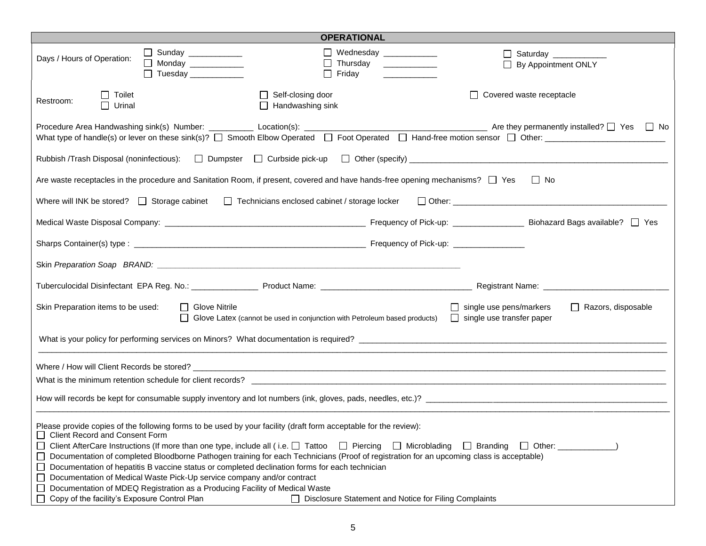|                                    |                                                                                          | <b>OPERATIONAL</b>                                                                                                                         |                                 |                                                             |                    |
|------------------------------------|------------------------------------------------------------------------------------------|--------------------------------------------------------------------------------------------------------------------------------------------|---------------------------------|-------------------------------------------------------------|--------------------|
| Days / Hours of Operation:         | $\Box$ Sunday ____________<br>$\Box$ Monday _____________<br>$\Box$ Tuesday ____________ | Thursday ___________<br>$\Box$ Friday                                                                                                      | $\Box$ Wednesday ______________ | Saturday ____________<br>By Appointment ONLY                |                    |
| Restroom:                          | Toilet<br>Urinal                                                                         | $\Box$ Self-closing door<br>$\Box$ Handwashing sink                                                                                        |                                 | Covered waste receptacle<br>$\perp$                         |                    |
|                                    |                                                                                          |                                                                                                                                            |                                 |                                                             |                    |
|                                    |                                                                                          |                                                                                                                                            |                                 |                                                             |                    |
|                                    |                                                                                          | Are waste receptacles in the procedure and Sanitation Room, if present, covered and have hands-free opening mechanisms? $\Box$ Yes         |                                 | ∐ No                                                        |                    |
|                                    | Where will INK be stored? $\Box$ Storage cabinet                                         | □ Technicians enclosed cabinet / storage locker                                                                                            |                                 |                                                             |                    |
|                                    |                                                                                          |                                                                                                                                            |                                 |                                                             |                    |
|                                    |                                                                                          |                                                                                                                                            |                                 |                                                             |                    |
|                                    |                                                                                          |                                                                                                                                            |                                 |                                                             |                    |
|                                    |                                                                                          |                                                                                                                                            |                                 |                                                             |                    |
| Skin Preparation items to be used: | □ Glove Nitrile                                                                          | Glove Latex (cannot be used in conjunction with Petroleum based products)                                                                  |                                 | single use pens/markers<br>$\Box$ single use transfer paper | Razors, disposable |
|                                    |                                                                                          |                                                                                                                                            |                                 |                                                             |                    |
|                                    |                                                                                          |                                                                                                                                            |                                 |                                                             |                    |
|                                    |                                                                                          | What is the minimum retention schedule for client records?<br>What is the minimum retention schedule for client records?                   |                                 |                                                             |                    |
|                                    |                                                                                          |                                                                                                                                            |                                 |                                                             |                    |
| Client Record and Consent Form     |                                                                                          | Please provide copies of the following forms to be used by your facility (draft form acceptable for the review):                           |                                 |                                                             |                    |
|                                    |                                                                                          | □ Client AfterCare Instructions (If more than one type, include all (i.e. □ Tattoo □ Piercing □ Microblading □ Branding                    |                                 | $\Box$ Other:                                               |                    |
|                                    |                                                                                          | □ Documentation of completed Bloodborne Pathogen training for each Technicians (Proof of registration for an upcoming class is acceptable) |                                 |                                                             |                    |
|                                    | Documentation of Medical Waste Pick-Up service company and/or contract                   | Documentation of hepatitis B vaccine status or completed declination forms for each technician                                             |                                 |                                                             |                    |
|                                    | Documentation of MDEQ Registration as a Producing Facility of Medical Waste              |                                                                                                                                            |                                 |                                                             |                    |
|                                    | □ Copy of the facility's Exposure Control Plan                                           | □ Disclosure Statement and Notice for Filing Complaints                                                                                    |                                 |                                                             |                    |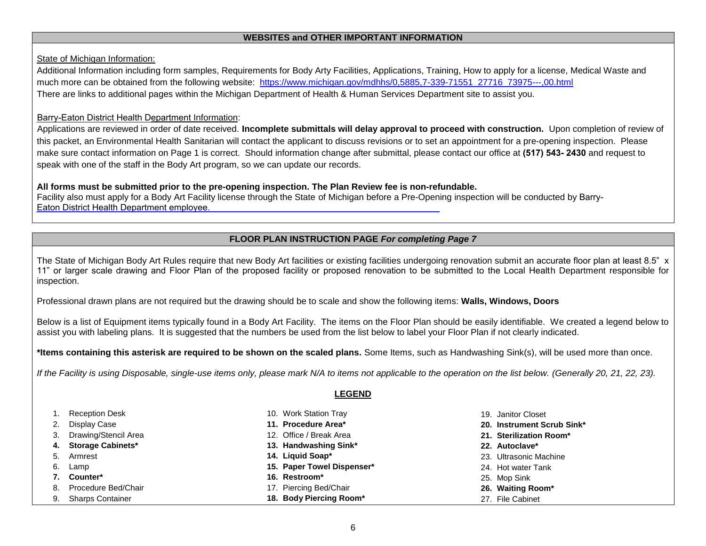#### **WEBSITES and OTHER IMPORTANT INFORMATION**

#### State of Michigan Information:

Additional Information including form samples, Requirements for Body Arty Facilities, Applications, Training, How to apply for a license, Medical Waste and much more can be obtained from the following website: [https://www.michigan.gov/mdhhs/0,5885,7-339-71551\\_27716\\_73975---,00.html](https://www.michigan.gov/mdhhs/0,5885,7-339-71551_27716_73975---,00.html) There are links to additional pages within the Michigan Department of Health & Human Services Department site to assist you.

### Barry-Eaton District Health Department Information:

Applications are reviewed in order of date received. **Incomplete submittals will delay approval to proceed with construction.** Upon completion of review of this packet, an Environmental Health Sanitarian will contact the applicant to discuss revisions or to set an appointment for a pre-opening inspection. Please make sure contact information on Page 1 is correct. Should information change after submittal, please contact our office at **(517) 543- 2430** and request to speak with one of the staff in the Body Art program, so we can update our records.

#### **All forms must be submitted prior to the pre-opening inspection. The Plan Review fee is non-refundable.**

Facility also must apply for a Body Art Facility license through the State of Michigan before a Pre-Opening inspection will be conducted by Barry-[Eaton District Health Department employee](https://www.michigan.gov/mdhhs/0,5885,7-339-71551_27716_73975_73976_74167-250493--,00.html).

## **FLOOR PLAN INSTRUCTION PAGE** *For completing Page 7*

The State of Michigan Body Art Rules require that new Body Art facilities or existing facilities undergoing renovation submit an accurate floor plan at least 8.5" x 11" or larger scale drawing and Floor Plan of the proposed facility or proposed renovation to be submitted to the Local Health Department responsible for inspection.

Professional drawn plans are not required but the drawing should be to scale and show the following items: **Walls, Windows, Doors**

Below is a list of Equipment items typically found in a Body Art Facility. The items on the Floor Plan should be easily identifiable. We created a legend below to assist you with labeling plans. It is suggested that the numbers be used from the list below to label your Floor Plan if not clearly indicated.

**\*Items containing this asterisk are required to be shown on the scaled plans.** Some Items, such as Handwashing Sink(s), will be used more than once.

*If the Facility is using Disposable, single-use items only, please mark N/A to items not applicable to the operation on the list below. (Generally 20, 21, 22, 23).* 

#### **LEGEND**

|    | Reception Desk          | 10. Work Station Tray      | 19. Janitor Closet         |
|----|-------------------------|----------------------------|----------------------------|
| 2. | Display Case            | 11. Procedure Area*        | 20. Instrument Scrub Sink* |
| 3. | Drawing/Stencil Area    | 12. Office / Break Area    | 21. Sterilization Room*    |
|    | 4. Storage Cabinets*    | 13. Handwashing Sink*      | 22. Autoclave*             |
|    | 5. Armrest              | 14. Liquid Soap*           | 23. Ultrasonic Machine     |
| 6. | Lamp                    | 15. Paper Towel Dispenser* | 24. Hot water Tank         |
|    | 7. Counter*             | 16. Restroom*              | 25. Mop Sink               |
|    | 8. Procedure Bed/Chair  | 17. Piercing Bed/Chair     | 26. Waiting Room*          |
| 9. | <b>Sharps Container</b> | 18. Body Piercing Room*    | 27. File Cabinet           |